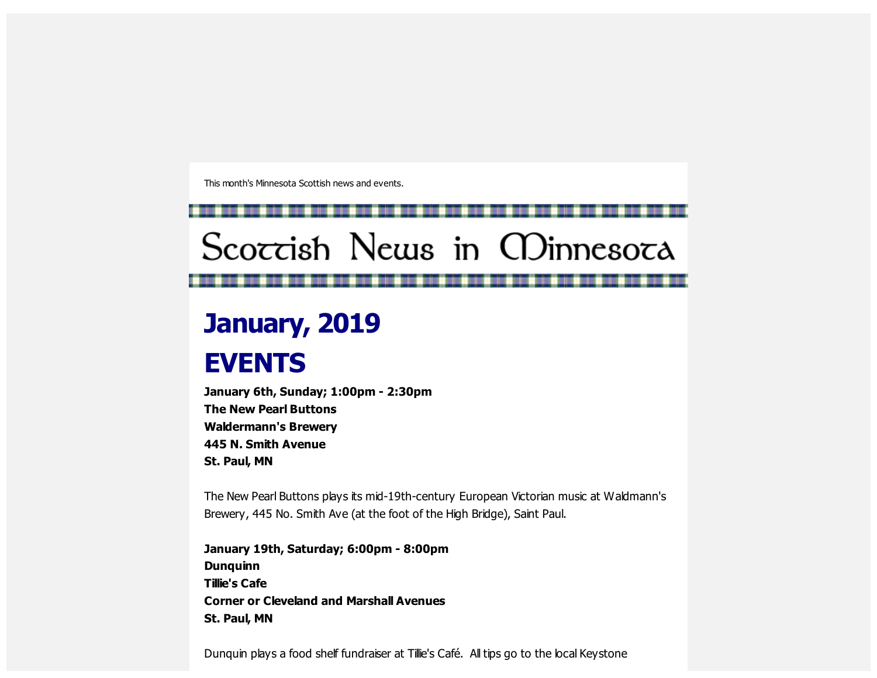This month's Minnesota Scottish news and events.

# Scoccish News in CDinnesoca

## **January, 2019**

### **EVENTS**

**January 6th, Sunday; 1:00pm - 2:30pm The New Pearl Buttons Waldermann's Brewery 445 N. Smith Avenue St. Paul, MN**

The New Pearl Buttons plays its mid-19th-century European Victorian music at Waldmann's Brewery, 445 No. Smith Ave (at the foot of the High Bridge), Saint Paul.

**January 19th, Saturday; 6:00pm - 8:00pm Dunquinn Tillie's Cafe Corner or Cleveland and Marshall Avenues St. Paul, MN**

Dunquin plays a food shelf fundraiser at Tillie's Café. All tips go to the local Keystone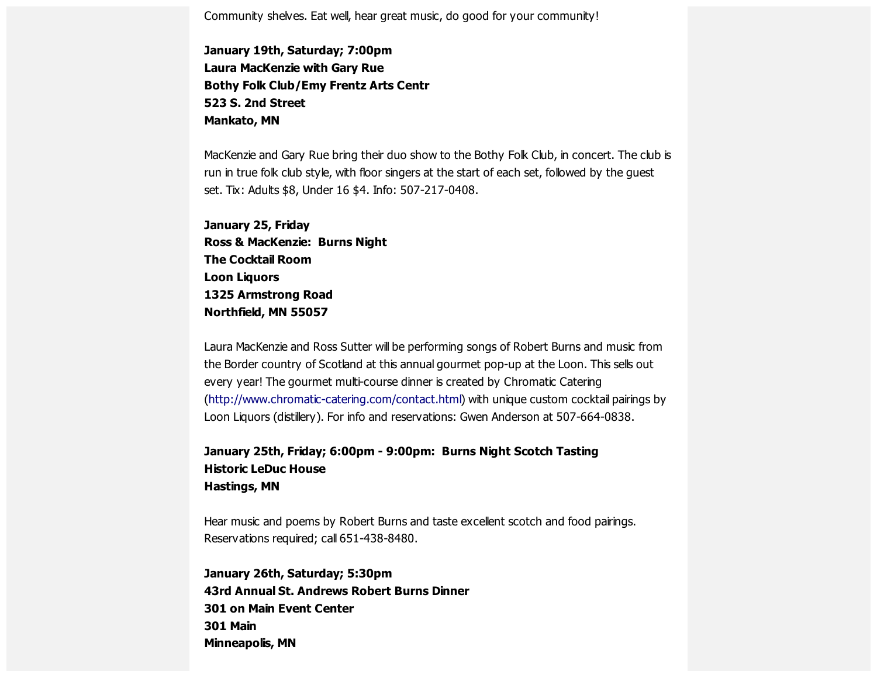Community shelves. Eat well, hear great music, do good for your community!

**January 19th, Saturday; 7:00pm Laura MacKenzie with Gary Rue Bothy Folk Club/Emy Frentz Arts Centr 523 S. 2nd Street Mankato, MN**

MacKenzie and Gary Rue bring their duo show to the Bothy Folk Club, in concert. The club is run in true folk club style, with floor singers at the start of each set, followed by the guest set. Tix: Adults \$8, Under 16 \$4. Info: 507-217-0408.

**January 25, Friday Ross & MacKenzie: Burns Night The Cocktail Room Loon Liquors 1325 Armstrong Road Northfield, MN 55057**

Laura MacKenzie and Ross Sutter will be performing songs of Robert Burns and music from the Border country of Scotland at this annual gourmet pop-up at the Loon. This sells out every year! The gourmet multi-course dinner is created by Chromatic Catering [\(http://www.chromatic-catering.com/contact.html](https://scottishamericancentermn.us10.list-manage.com/track/click?u=2fe4099001736ac4b948473e4&id=54d097cb8d&e=6b0ba04b53)) with unique custom cocktail pairings by Loon Liquors (distillery). For info and reservations: Gwen Anderson at 507-664-0838.

#### **January 25th, Friday; 6:00pm - 9:00pm: Burns Night Scotch Tasting Historic LeDuc House Hastings, MN**

Hear music and poems by Robert Burns and taste excellent scotch and food pairings. Reservations required; call 651-438-8480.

**January 26th, Saturday; 5:30pm 43rd Annual St. Andrews Robert Burns Dinner 301 on Main Event Center 301 Main Minneapolis, MN**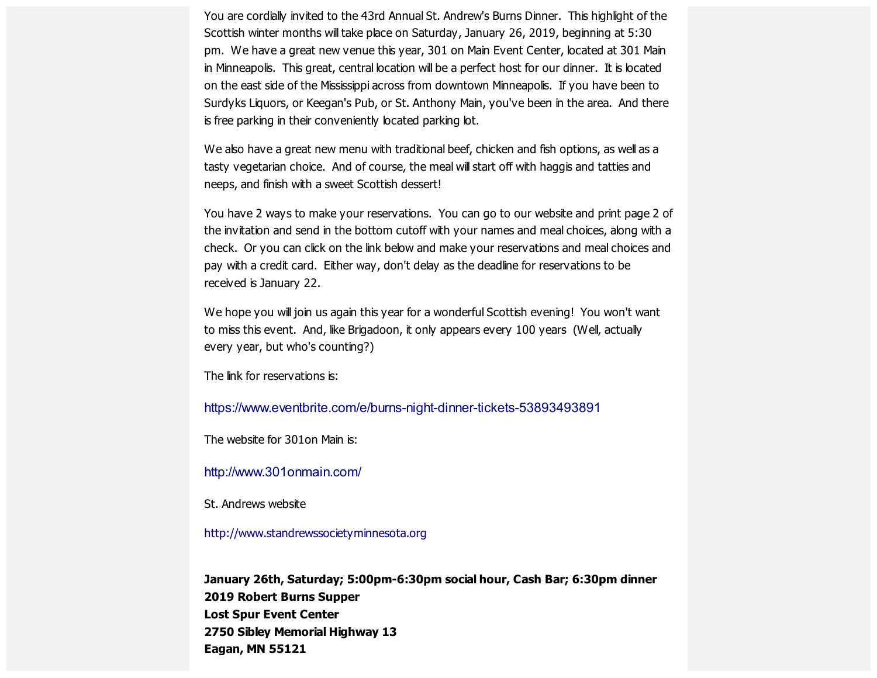You are cordially invited to the 43rd Annual St. Andrew's Burns Dinner. This highlight of the Scottish winter months will take place on Saturday, January 26, 2019, beginning at 5:30 pm. We have a great new venue this year, 301 on Main Event Center, located at 301 Main in Minneapolis. This great, central location will be a perfect host for our dinner. It is located on the east side of the Mississippi across from downtown Minneapolis. If you have been to Surdyks Liquors, or Keegan's Pub, or St. Anthony Main, you've been in the area. And there is free parking in their conveniently located parking lot.

We also have a great new menu with traditional beef, chicken and fish options, as well as a tasty vegetarian choice. And of course, the meal will start off with haggis and tatties and neeps, and finish with a sweet Scottish dessert!

You have 2 ways to make your reservations. You can go to our website and print page 2 of the invitation and send in the bottom cutoff with your names and meal choices, along with a check. Or you can click on the link below and make your reservations and meal choices and pay with a credit card. Either way, don't delay as the deadline for reservations to be received is January 22.

We hope you will join us again this year for a wonderful Scottish evening! You won't want to miss this event. And, like Brigadoon, it only appears every 100 years (Well, actually every year, but who's counting?)

The link for reservations is:

[https://www.eventbrite.com/e/burns-night-dinner-tickets-53893493891](https://scottishamericancentermn.us10.list-manage.com/track/click?u=2fe4099001736ac4b948473e4&id=47ce059bc9&e=6b0ba04b53)

The website for 301on Main is:

[http://www.301onmain.com/](https://scottishamericancentermn.us10.list-manage.com/track/click?u=2fe4099001736ac4b948473e4&id=b48c18e21b&e=6b0ba04b53)

St. Andrews website

[http://www.standrewssocietyminnesota.org](https://scottishamericancentermn.us10.list-manage.com/track/click?u=2fe4099001736ac4b948473e4&id=a550df6e20&e=6b0ba04b53)

**January 26th, Saturday; 5:00pm-6:30pm social hour, Cash Bar; 6:30pm dinner 2019 Robert Burns Supper Lost Spur Event Center 2750 Sibley Memorial Highway 13 Eagan, MN 55121**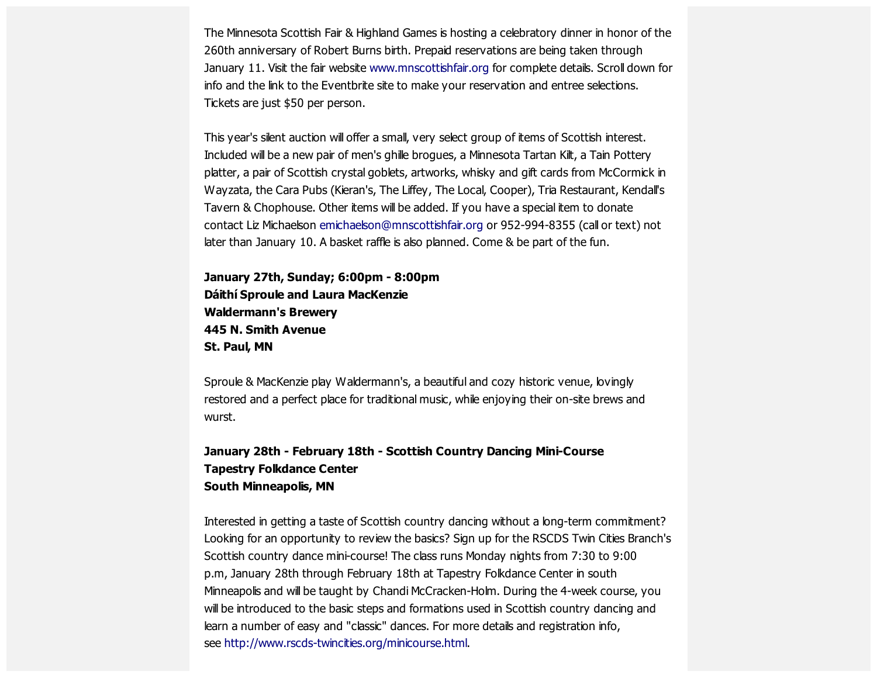The Minnesota Scottish Fair & Highland Games is hosting a celebratory dinner in honor of the 260th anniversary of Robert Burns birth. Prepaid reservations are being taken through January 11. Visit the fair website [www.mnscottishfair.org](https://scottishamericancentermn.us10.list-manage.com/track/click?u=2fe4099001736ac4b948473e4&id=dd07e1992b&e=6b0ba04b53) for complete details. Scroll down for info and the link to the Eventbrite site to make your reservation and entree selections. Tickets are just \$50 per person.

This year's silent auction will offer a small, very select group of items of Scottish interest. Included will be a new pair of men's ghille brogues, a Minnesota Tartan Kilt, a Tain Pottery platter, a pair of Scottish crystal goblets, artworks, whisky and gift cards from McCormick in Wayzata, the Cara Pubs (Kieran's, The Liffey, The Local, Cooper), Tria Restaurant, Kendall's Tavern & Chophouse. Other items will be added. If you have a special item to donate contact Liz Michaelson [emichaelson@mnscottishfair.org](mailto:emichaelson@mnscottishfair.org) or 952-994-8355 (call or text) not later than January 10. A basket raffle is also planned. Come & be part of the fun.

**January 27th, Sunday; 6:00pm - 8:00pm Dáithí Sproule and Laura MacKenzie Waldermann's Brewery 445 N. Smith Avenue St. Paul, MN**

Sproule & MacKenzie play Waldermann's, a beautiful and cozy historic venue, lovingly restored and a perfect place for traditional music, while enjoying their on-site brews and wurst.

#### **January 28th - February 18th - Scottish Country Dancing Mini-Course Tapestry Folkdance Center South Minneapolis, MN**

Interested in getting a taste of Scottish country dancing without a long-term commitment? Looking for an opportunity to review the basics? Sign up for the RSCDS Twin Cities Branch's Scottish country dance mini-course! The class runs Monday nights from 7:30 to 9:00 p.m, January 28th through February 18th at Tapestry Folkdance Center in south Minneapolis and will be taught by Chandi McCracken-Holm. During the 4-week course, you will be introduced to the basic steps and formations used in Scottish country dancing and learn a number of easy and "classic" dances. For more details and registration info, see [http://www.rscds-twincities.org/minicourse.html.](https://scottishamericancentermn.us10.list-manage.com/track/click?u=2fe4099001736ac4b948473e4&id=da6ecc78be&e=6b0ba04b53)